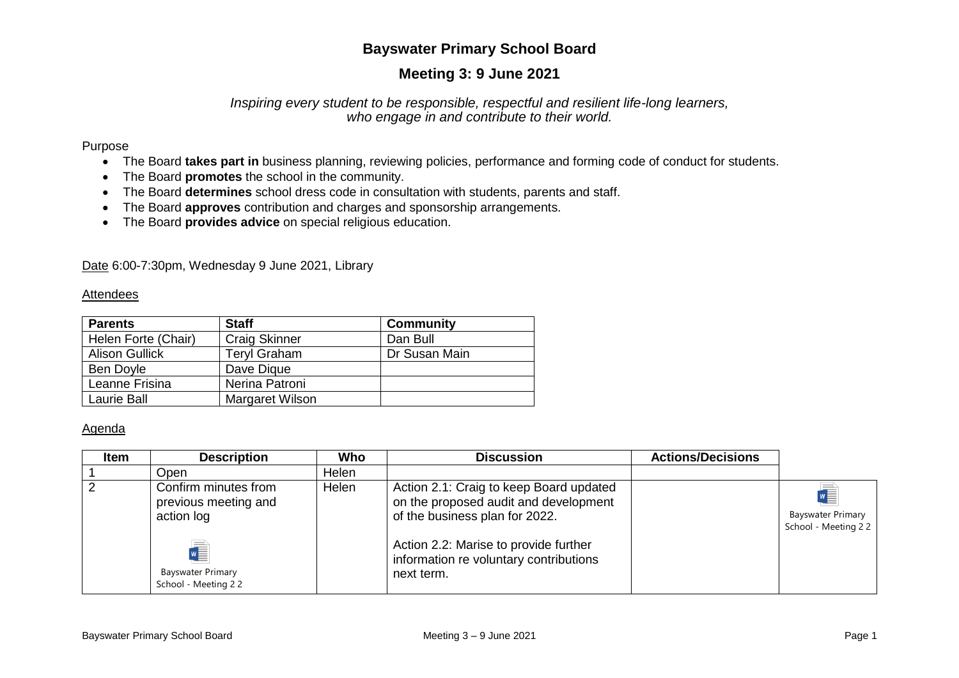# **Bayswater Primary School Board**

# **Meeting 3: 9 June 2021**

### *Inspiring every student to be responsible, respectful and resilient life-long learners, who engage in and contribute to their world.*

#### Purpose

- The Board **takes part in** business planning, reviewing policies, performance and forming code of conduct for students.
- The Board **promotes** the school in the community.
- The Board **determines** school dress code in consultation with students, parents and staff.
- The Board **approves** contribution and charges and sponsorship arrangements.
- The Board **provides advice** on special religious education.

Date 6:00-7:30pm, Wednesday 9 June 2021, Library

#### Attendees

| <b>Parents</b>        | <b>Staff</b>         | <b>Community</b> |
|-----------------------|----------------------|------------------|
| Helen Forte (Chair)   | <b>Craig Skinner</b> | Dan Bull         |
| <b>Alison Gullick</b> | <b>Teryl Graham</b>  | Dr Susan Main    |
| Ben Doyle             | Dave Dique           |                  |
| Leanne Frisina        | Nerina Patroni       |                  |
| Laurie Ball           | Margaret Wilson      |                  |

### Agenda

| <b>Item</b>    | <b>Description</b>                                                      | Who   | <b>Discussion</b>                                                                                                  | <b>Actions/Decisions</b> |                                                 |
|----------------|-------------------------------------------------------------------------|-------|--------------------------------------------------------------------------------------------------------------------|--------------------------|-------------------------------------------------|
|                | Open                                                                    | Helen |                                                                                                                    |                          |                                                 |
| $\overline{2}$ | Confirm minutes from<br>previous meeting and<br>action log              | Helen | Action 2.1: Craig to keep Board updated<br>on the proposed audit and development<br>of the business plan for 2022. |                          | <b>Bayswater Primary</b><br>School - Meeting 22 |
|                | $\sqrt{\frac{1}{2}}$<br><b>Bayswater Primary</b><br>School - Meeting 22 |       | Action 2.2: Marise to provide further<br>information re voluntary contributions<br>next term.                      |                          |                                                 |